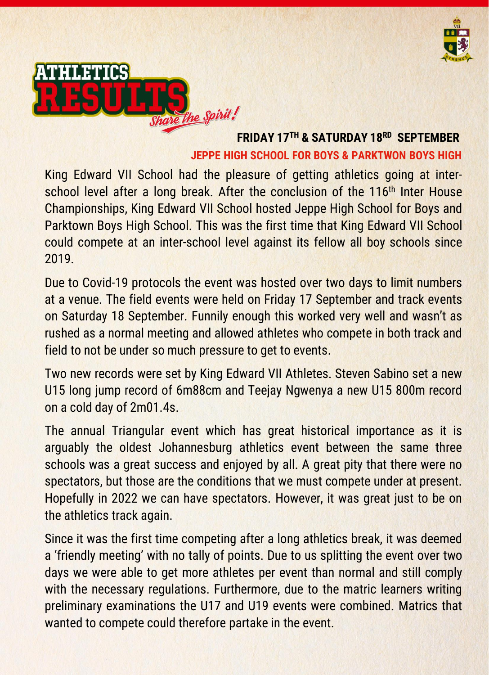



# **FRIDAY 17TH & SATURDAY 18RD SEPTEMBER JEPPE HIGH SCHOOL FOR BOYS & PARKTWON BOYS HIGH**

King Edward VII School had the pleasure of getting athletics going at interschool level after a long break. After the conclusion of the 116<sup>th</sup> Inter House Championships, King Edward VII School hosted Jeppe High School for Boys and Parktown Boys High School. This was the first time that King Edward VII School could compete at an inter-school level against its fellow all boy schools since 2019.

Due to Covid-19 protocols the event was hosted over two days to limit numbers at a venue. The field events were held on Friday 17 September and track events on Saturday 18 September. Funnily enough this worked very well and wasn't as rushed as a normal meeting and allowed athletes who compete in both track and field to not be under so much pressure to get to events.

Two new records were set by King Edward VII Athletes. Steven Sabino set a new U15 long jump record of 6m88cm and Teejay Ngwenya a new U15 800m record on a cold day of 2m01.4s.

The annual Triangular event which has great historical importance as it is arguably the oldest Johannesburg athletics event between the same three schools was a great success and enjoyed by all. A great pity that there were no spectators, but those are the conditions that we must compete under at present. Hopefully in 2022 we can have spectators. However, it was great just to be on the athletics track again.

Since it was the first time competing after a long athletics break, it was deemed a 'friendly meeting' with no tally of points. Due to us splitting the event over two days we were able to get more athletes per event than normal and still comply with the necessary regulations. Furthermore, due to the matric learners writing preliminary examinations the U17 and U19 events were combined. Matrics that wanted to compete could therefore partake in the event.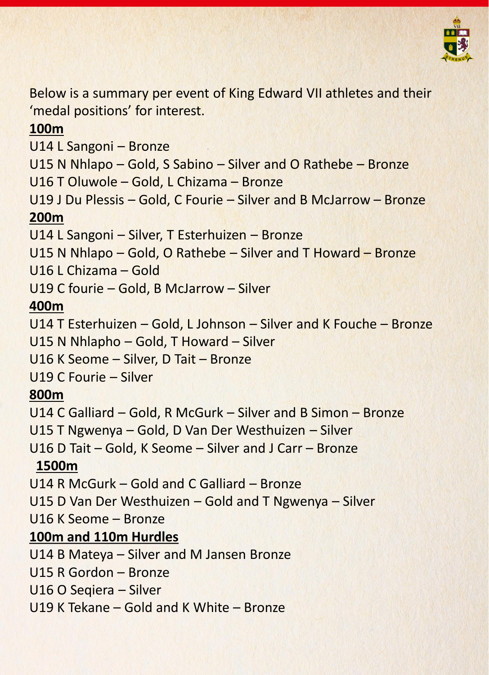

Below is a summary per event of King Edward VII athletes and their 'medal positions' for interest.

### **100m**

U14 L Sangoni – Bronze

U15 N Nhlapo – Gold, S Sabino – Silver and O Rathebe – Bronze

U16 T Oluwole – Gold, L Chizama – Bronze

U19 J Du Plessis – Gold, C Fourie – Silver and B McJarrow – Bronze **200m**

U14 L Sangoni – Silver, T Esterhuizen – Bronze

U15 N Nhlapo – Gold, O Rathebe – Silver and T Howard – Bronze

U16 L Chizama – Gold

U19 C fourie – Gold, B McJarrow – Silver

# **400m**

U14 T Esterhuizen – Gold, L Johnson – Silver and K Fouche – Bronze

U15 N Nhlapho – Gold, T Howard – Silver

U16 K Seome – Silver, D Tait – Bronze

U19 C Fourie – Silver

### **800m**

U14 C Galliard – Gold, R McGurk – Silver and B Simon – Bronze

U15 T Ngwenya – Gold, D Van Der Westhuizen – Silver

U16 D Tait – Gold, K Seome – Silver and J Carr – Bronze

# **1500m**

U14 R McGurk – Gold and C Galliard – Bronze

U15 D Van Der Westhuizen – Gold and T Ngwenya – Silver

U16 K Seome – Bronze

# **100m and 110m Hurdles**

U14 B Mateya – Silver and M Jansen Bronze

U15 R Gordon – Bronze

U16 O Seqiera – Silver

U19 K Tekane – Gold and K White – Bronze